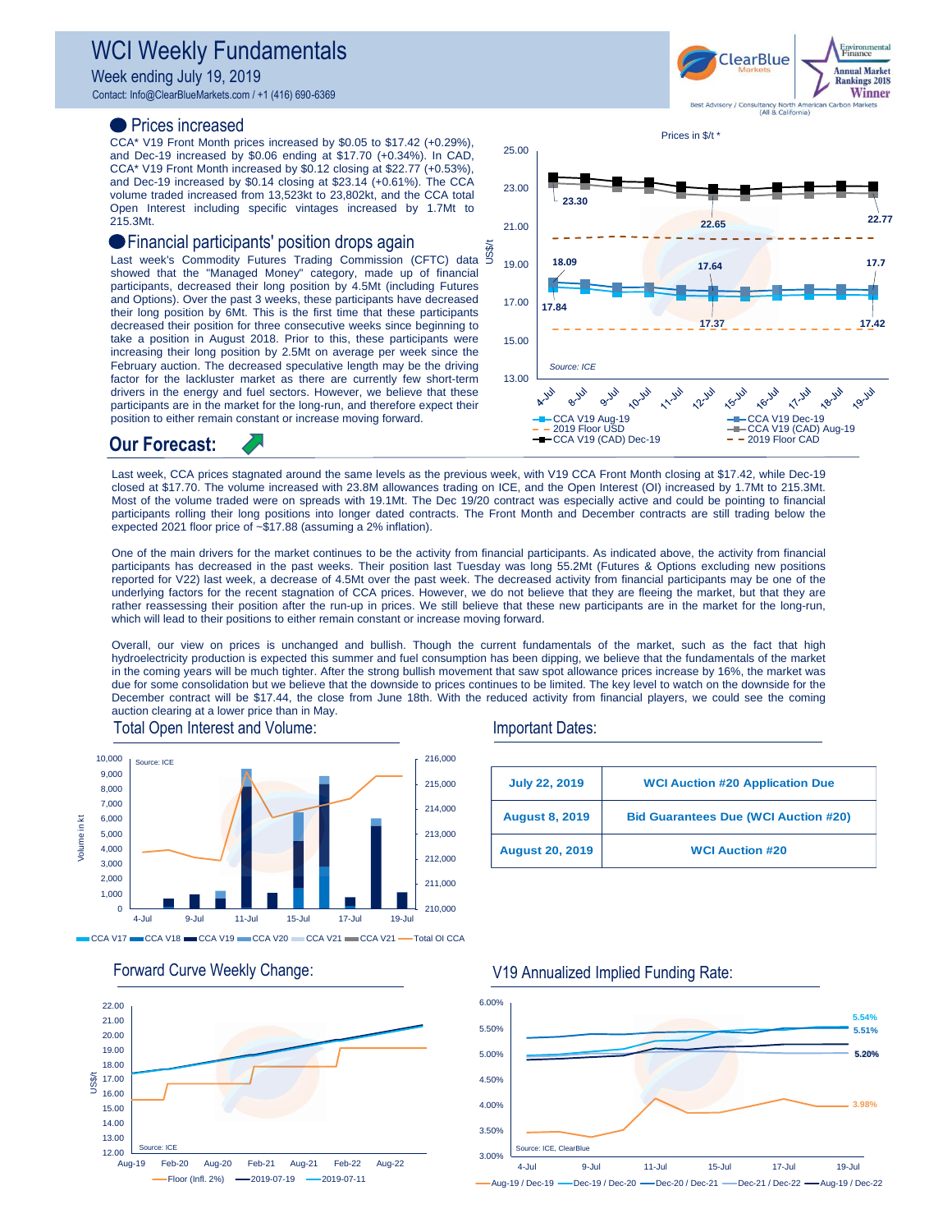# WCI Weekly Fundamentals

Week ending July 19, 2019

Contact: Info@ClearBlueMarkets.com / +1 (416) 690-6369

### Prices increased

CCA\* V19 Front Month prices increased by \$0.05 to \$17.42 (+0.29%), and Dec-19 increased by \$0.06 ending at \$17.70 (+0.34%). In CAD, CCA\* V19 Front Month increased by \$0.12 closing at \$22.77 (+0.53%), and Dec-19 increased by \$0.14 closing at \$23.14 (+0.61%). The CCA volume traded increased from 13,523kt to 23,802kt, and the CCA total Open Interest including specific vintages increased by 1.7Mt to 215.3Mt.

## Financial participants' position drops again

U FINANCIAI DAFIICIDANIS DOSITION ORDS AGAIN<br>Last week's Commodity Futures Trading Commission (CFTC) data 5 showed that the "Managed Money" category, made up of financial participants, decreased their long position by 4.5Mt (including Futures and Options). Over the past 3 weeks, these participants have decreased their long position by 6Mt. This is the first time that these participants decreased their position for three consecutive weeks since beginning to take a position in August 2018. Prior to this, these participants were increasing their long position by 2.5Mt on average per week since the February auction. The decreased speculative length may be the driving factor for the lackluster market as there are currently few short-term drivers in the energy and fuel sectors. However, we believe that these participants are in the market for the long-run, and therefore expect their position to either remain constant or increase moving forward.



**ClearBlue** 

**Annual Market Rankings 2018** Winner

**Our Forecast:**

Last week, CCA prices stagnated around the same levels as the previous week, with V19 CCA Front Month closing at \$17.42, while Dec-19 closed at \$17.70. The volume increased with 23.8M allowances trading on ICE, and the Open Interest (OI) increased by 1.7Mt to 215.3Mt. Most of the volume traded were on spreads with 19.1Mt. The Dec 19/20 contract was especially active and could be pointing to financial participants rolling their long positions into longer dated contracts. The Front Month and December contracts are still trading below the expected 2021 floor price of ~\$17.88 (assuming a 2% inflation).

One of the main drivers for the market continues to be the activity from financial participants. As indicated above, the activity from financial participants has decreased in the past weeks. Their position last Tuesday was long 55.2Mt (Futures & Options excluding new positions reported for V22) last week, a decrease of 4.5Mt over the past week. The decreased activity from financial participants may be one of the underlying factors for the recent stagnation of CCA prices. However, we do not believe that they are fleeing the market, but that they are rather reassessing their position after the run-up in prices. We still believe that these new participants are in the market for the long-run, which will lead to their positions to either remain constant or increase moving forward.

Overall, our view on prices is unchanged and bullish. Though the current fundamentals of the market, such as the fact that high hydroelectricity production is expected this summer and fuel consumption has been dipping, we believe that the fundamentals of the market in the coming years will be much tighter. After the strong bullish movement that saw spot allowance prices increase by 16%, the market was due for some consolidation but we believe that the downside to prices continues to be limited. The key level to watch on the downside for the December contract will be \$17.44, the close from June 18th. With the reduced activity from financial players, we could see the coming auction clearing at a lower price than in May.



 $CCA V17 = CCA V18 = CCA V19 = CCA V20 = CCA V21 = CCA V21 = CCA V22$ 



#### Total Open Interest and Volume: Important Dates:

| <b>July 22, 2019</b>   | <b>WCI Auction #20 Application Due</b>      |  |
|------------------------|---------------------------------------------|--|
| <b>August 8, 2019</b>  | <b>Bid Guarantees Due (WCI Auction #20)</b> |  |
| <b>August 20, 2019</b> | <b>WCI Auction #20</b>                      |  |

#### **3.98% 5.54% 5.51% 5.02% 5.20%** 3.00% 3.50% 4.00% 4.50% 5.00% 5.50% 6.00% 4-Jul 9-Jul 11-Jul 15-Jul 17-Jul 19-Jul -Aug-19 / Dec-19 - Dec-19 / Dec-20 - Dec-20 / Dec-21 - Dec-21 / Dec-22 - Aug-19 / Dec-22

### Forward Curve Weekly Change: V19 Annualized Implied Funding Rate: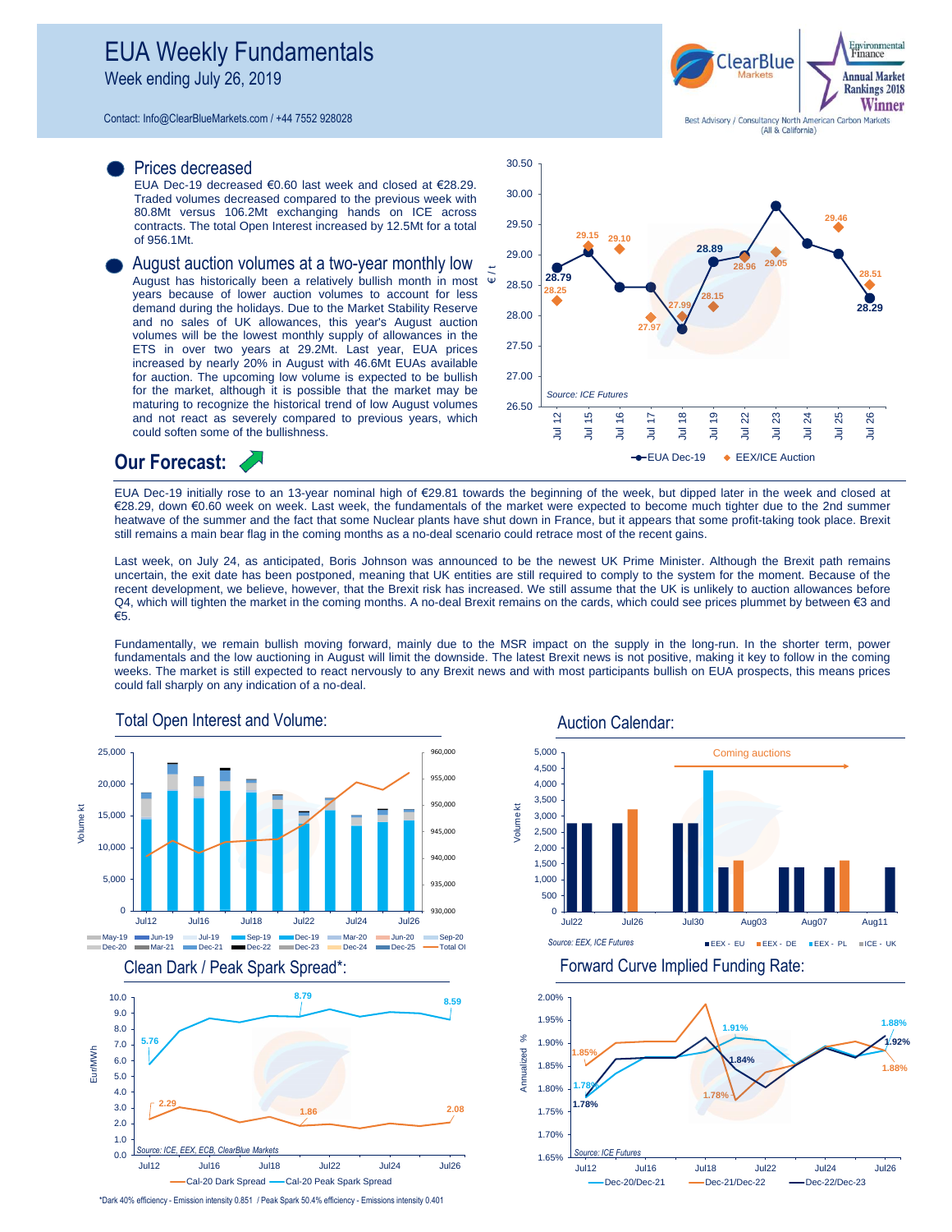Week ending July 26, 2019

Contact: Info@ClearBlueMarkets.com / +44 7552 928028

#### Prices decreased

EUA Dec-19 decreased €0.60 last week and closed at €28.29. Traded volumes decreased compared to the previous week with 80.8Mt versus 106.2Mt exchanging hands on ICE across contracts. The total Open Interest increased by 12.5Mt for a total of 956.1Mt.

August auction volumes at a two-year monthly low August has historically been a relatively bullish month in most years because of lower auction volumes to account for less demand during the holidays. Due to the Market Stability Reserve and no sales of UK allowances, this year's August auction volumes will be the lowest monthly supply of allowances in the ETS in over two years at 29.2Mt. Last year, EUA prices increased by nearly 20% in August with 46.6Mt EUAs available for auction. The upcoming low volume is expected to be bullish for the market, although it is possible that the market may be maturing to recognize the historical trend of low August volumes and not react as severely compared to previous years, which could soften some of the bullishness.





**Our Forecast:**

EUA Dec-19 initially rose to an 13-year nominal high of €29.81 towards the beginning of the week, but dipped later in the week and closed at €28.29, down €0.60 week on week. Last week, the fundamentals of the market were expected to become much tighter due to the 2nd summer heatwave of the summer and the fact that some Nuclear plants have shut down in France, but it appears that some profit-taking took place. Brexit still remains a main bear flag in the coming months as a no-deal scenario could retrace most of the recent gains.

Last week, on July 24, as anticipated, Boris Johnson was announced to be the newest UK Prime Minister. Although the Brexit path remains uncertain, the exit date has been postponed, meaning that UK entities are still required to comply to the system for the moment. Because of the recent development, we believe, however, that the Brexit risk has increased. We still assume that the UK is unlikely to auction allowances before Q4, which will tighten the market in the coming months. A no-deal Brexit remains on the cards, which could see prices plummet by between €3 and €5.

Fundamentally, we remain bullish moving forward, mainly due to the MSR impact on the supply in the long-run. In the shorter term, power fundamentals and the low auctioning in August will limit the downside. The latest Brexit news is not positive, making it key to follow in the coming weeks. The market is still expected to react nervously to any Brexit news and with most participants bullish on EUA prospects, this means prices could fall sharply on any indication of a no-deal.



Auction Calendar:







\*Dark 40% efficiency - Emission intensity 0.851 / Peak Spark 50.4% efficiency - Emissions intensity 0.401